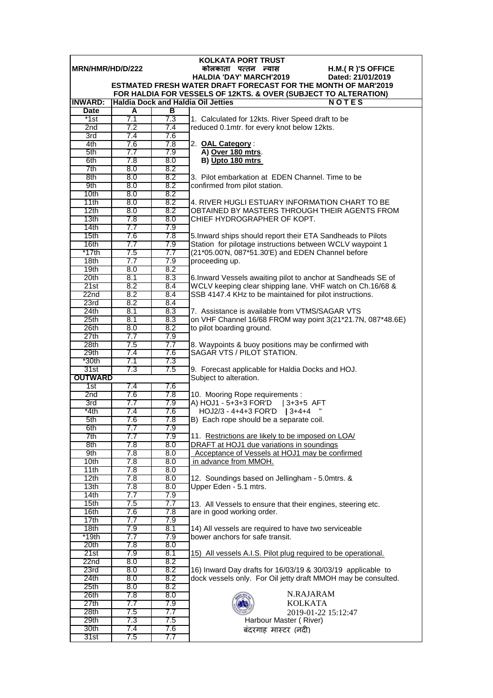| <b>KOLKATA PORT TRUST</b>                                                                                                   |            |            |                                                                                                                                                                               |  |  |  |  |  |
|-----------------------------------------------------------------------------------------------------------------------------|------------|------------|-------------------------------------------------------------------------------------------------------------------------------------------------------------------------------|--|--|--|--|--|
| MRN/HMR/HD/D/222<br>H.M.(R)'S OFFICE<br>कोलकाता पत्तन न्यास                                                                 |            |            |                                                                                                                                                                               |  |  |  |  |  |
| <b>HALDIA 'DAY' MARCH'2019</b><br>Dated: 21/01/2019<br><b>ESTMATED FRESH WATER DRAFT FORECAST FOR THE MONTH OF MAR'2019</b> |            |            |                                                                                                                                                                               |  |  |  |  |  |
| FOR HALDIA FOR VESSELS OF 12KTS. & OVER (SUBJECT TO ALTERATION)                                                             |            |            |                                                                                                                                                                               |  |  |  |  |  |
| <b>Haldia Dock and Haldia Oil Jetties</b><br><b>INWARD:</b><br><b>NOTES</b>                                                 |            |            |                                                                                                                                                                               |  |  |  |  |  |
| <b>Date</b>                                                                                                                 | A          | В          |                                                                                                                                                                               |  |  |  |  |  |
| *1st                                                                                                                        | 7.1        | 7.3        | 1. Calculated for 12kts. River Speed draft to be                                                                                                                              |  |  |  |  |  |
| 2nd                                                                                                                         | 7.2        | 7.4        | reduced 0.1mtr. for every knot below 12kts.                                                                                                                                   |  |  |  |  |  |
| 3rd                                                                                                                         | 7.4        | 7.6        |                                                                                                                                                                               |  |  |  |  |  |
| 4th                                                                                                                         | 7.6        | 7.8        | 2. OAL Category:                                                                                                                                                              |  |  |  |  |  |
| 5th                                                                                                                         | 7.7        | 7.9        | A) Over 180 mtrs.                                                                                                                                                             |  |  |  |  |  |
| 6th<br>7th                                                                                                                  | 7.8<br>8.0 | 8.0<br>8.2 | B) Upto 180 mtrs                                                                                                                                                              |  |  |  |  |  |
| 8th                                                                                                                         | 8.0        | 8.2        | 3. Pilot embarkation at EDEN Channel. Time to be                                                                                                                              |  |  |  |  |  |
| 9th                                                                                                                         | 8.0        | 8.2        | confirmed from pilot station.                                                                                                                                                 |  |  |  |  |  |
| 10 <sub>th</sub>                                                                                                            | 8.0        | 8.2        |                                                                                                                                                                               |  |  |  |  |  |
| 11th                                                                                                                        | 8.0        | 8.2        | 4. RIVER HUGLI ESTUARY INFORMATION CHART TO BE                                                                                                                                |  |  |  |  |  |
| 12th                                                                                                                        | 8.0        | 8.2        | OBTAINED BY MASTERS THROUGH THEIR AGENTS FROM                                                                                                                                 |  |  |  |  |  |
| 13 <sub>th</sub>                                                                                                            | 7.8        | 8.0        | CHIEF HYDROGRAPHER OF KOPT.                                                                                                                                                   |  |  |  |  |  |
| 14th                                                                                                                        | 7.7        | 7.9        |                                                                                                                                                                               |  |  |  |  |  |
| 15th<br>16th                                                                                                                | 7.6<br>7.7 | 7.8<br>7.9 | 5. Inward ships should report their ETA Sandheads to Pilots<br>Station for pilotage instructions between WCLV waypoint 1<br>(21*05.00'N, 087*51.30'E) and EDEN Channel before |  |  |  |  |  |
| *17th                                                                                                                       | 7.5        | 7.7        |                                                                                                                                                                               |  |  |  |  |  |
| 18th                                                                                                                        | 7.7        | 7.9        | proceeding up.                                                                                                                                                                |  |  |  |  |  |
| 19th                                                                                                                        | 8.0        | 8.2        |                                                                                                                                                                               |  |  |  |  |  |
| 20th                                                                                                                        | 8.1        | 8.3        | 6. Inward Vessels awaiting pilot to anchor at Sandheads SE of                                                                                                                 |  |  |  |  |  |
| 21st                                                                                                                        | 8.2        | 8.4        | WCLV keeping clear shipping lane. VHF watch on Ch.16/68 &                                                                                                                     |  |  |  |  |  |
| 22n <sub>d</sub>                                                                                                            | 8.2        | 8.4        | SSB 4147.4 KHz to be maintained for pilot instructions.                                                                                                                       |  |  |  |  |  |
| 23rd                                                                                                                        | 8.2        | 8.4        |                                                                                                                                                                               |  |  |  |  |  |
| 24th                                                                                                                        | 8.1        | 8.3        | 7. Assistance is available from VTMS/SAGAR VTS                                                                                                                                |  |  |  |  |  |
| 25 <sub>th</sub><br>26th                                                                                                    | 8.1<br>8.0 | 8.3<br>8.2 | on VHF Channel 16/68 FROM way point 3(21*21.7N, 087*48.6E)<br>to pilot boarding ground.                                                                                       |  |  |  |  |  |
| 27th                                                                                                                        | 7.7        | 7.9        |                                                                                                                                                                               |  |  |  |  |  |
| 28th                                                                                                                        | 7.5        | 7.7        | 8. Waypoints & buoy positions may be confirmed with                                                                                                                           |  |  |  |  |  |
| 29th                                                                                                                        | 7.4        | 7.6        | SAGAR VTS / PILOT STATION.                                                                                                                                                    |  |  |  |  |  |
| $*30th$                                                                                                                     | 7.1        | 7.3        |                                                                                                                                                                               |  |  |  |  |  |
| 31st                                                                                                                        | 7.3        | 7.5        | 9. Forecast applicable for Haldia Docks and HOJ.                                                                                                                              |  |  |  |  |  |
| <b>OUTWARD</b>                                                                                                              |            |            | Subject to alteration.                                                                                                                                                        |  |  |  |  |  |
| 1st                                                                                                                         | 7.4        | 7.6        |                                                                                                                                                                               |  |  |  |  |  |
| 2nd<br>3rd                                                                                                                  | 7.6<br>7.7 | 7.8<br>7.9 | 10. Mooring Rope requirements :<br>A) HOJ1 - 5+3+3 FOR'D   3+3+5 AFT                                                                                                          |  |  |  |  |  |
| *4th                                                                                                                        | 7.4        | 7.6        | HOJ2/3 - 4+4+3 FOR'D   3+4+4                                                                                                                                                  |  |  |  |  |  |
| 5th                                                                                                                         | 7.6        | 7.8        | B) Each rope should be a separate coil.                                                                                                                                       |  |  |  |  |  |
| 6th                                                                                                                         | 7.7        | 7.9        |                                                                                                                                                                               |  |  |  |  |  |
| 7th                                                                                                                         | 7.7        | 7.9        | 11. Restrictions are likely to be imposed on LOA/                                                                                                                             |  |  |  |  |  |
| 8th                                                                                                                         | 7.8        | 8.0        | DRAFT at HOJ1 due variations in soundings                                                                                                                                     |  |  |  |  |  |
| 9th                                                                                                                         | 7.8        | 8.0        | Acceptance of Vessels at HOJ1 may be confirmed                                                                                                                                |  |  |  |  |  |
| 10th                                                                                                                        | 7.8        | 8.0        | in advance from MMOH.                                                                                                                                                         |  |  |  |  |  |
| 11th<br>12th                                                                                                                | 7.8<br>7.8 | 8.0<br>8.0 | 12. Soundings based on Jellingham - 5.0mtrs. &                                                                                                                                |  |  |  |  |  |
| 13 <sub>th</sub>                                                                                                            | 7.8        | 8.0        | Upper Eden - 5.1 mtrs.                                                                                                                                                        |  |  |  |  |  |
| 14th                                                                                                                        | 7.7        | 7.9        |                                                                                                                                                                               |  |  |  |  |  |
| 15th                                                                                                                        | 7.5        | 7.7        | 13. All Vessels to ensure that their engines, steering etc.                                                                                                                   |  |  |  |  |  |
| 16th                                                                                                                        | 7.6        | 7.8        | are in good working order.                                                                                                                                                    |  |  |  |  |  |
| 17th                                                                                                                        | 7.7        | 7.9        |                                                                                                                                                                               |  |  |  |  |  |
| 18th                                                                                                                        | 7.9        | 8.1        | 14) All vessels are required to have two serviceable                                                                                                                          |  |  |  |  |  |
| *19th<br>20th                                                                                                               | 7.7<br>7.8 | 7.9<br>8.0 | bower anchors for safe transit.                                                                                                                                               |  |  |  |  |  |
| 21st                                                                                                                        | 7.9        | 8.1        | 15) All vessels A.I.S. Pilot plug required to be operational.                                                                                                                 |  |  |  |  |  |
| 22nd                                                                                                                        | 8.0        | 8.2        |                                                                                                                                                                               |  |  |  |  |  |
| 23rd                                                                                                                        | 8.0        | 8.2        | 16) Inward Day drafts for 16/03/19 & 30/03/19 applicable to                                                                                                                   |  |  |  |  |  |
| 24th                                                                                                                        | 8.0        | 8.2        | dock vessels only. For Oil jetty draft MMOH may be consulted.                                                                                                                 |  |  |  |  |  |
| 25 <sub>th</sub>                                                                                                            | 8.0        | 8.2        |                                                                                                                                                                               |  |  |  |  |  |
| 26th                                                                                                                        | 7.8        | 8.0        | N.RAJARAM                                                                                                                                                                     |  |  |  |  |  |
| 27th                                                                                                                        | 7.7        | 7.9        | <b>KOLKATA</b>                                                                                                                                                                |  |  |  |  |  |
| 28 <sub>th</sub>                                                                                                            | 7.5        | 7.7        | 2019-01-22 15:12:47                                                                                                                                                           |  |  |  |  |  |
| 29th<br>30th                                                                                                                | 7.3<br>7.4 | 7.5<br>7.6 | Harbour Master (River)                                                                                                                                                        |  |  |  |  |  |
| 31st                                                                                                                        | 7.5        | 7.7        | बंदरगाह मास्टर (नदी)                                                                                                                                                          |  |  |  |  |  |
|                                                                                                                             |            |            |                                                                                                                                                                               |  |  |  |  |  |